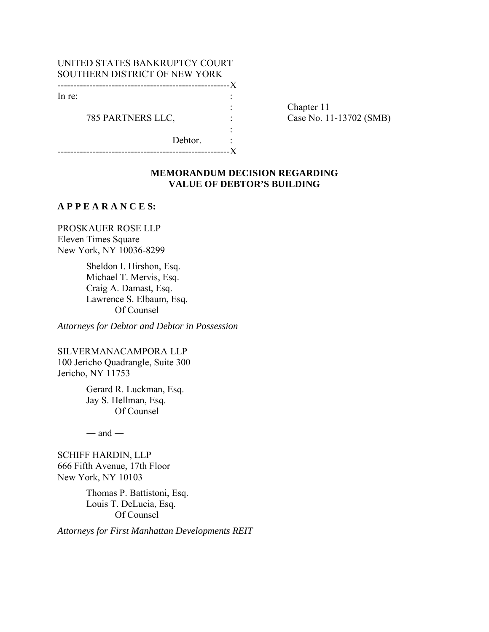| UNITED STATES BANKRUPTCY COURT |  |  |  |
|--------------------------------|--|--|--|
| SOUTHERN DISTRICT OF NEW YORK  |  |  |  |
|                                |  |  |  |
| In re:                         |  |  |  |
|                                |  |  |  |
| 785 PARTNERS LLC,              |  |  |  |
|                                |  |  |  |
| Debtor.                        |  |  |  |
|                                |  |  |  |

Chapter 11 Case No. 11-13702 (SMB)

### **MEMORANDUM DECISION REGARDING VALUE OF DEBTOR'S BUILDING**

## **A P P E A R A N C E S:**

PROSKAUER ROSE LLP Eleven Times Square New York, NY 10036-8299

> Sheldon I. Hirshon, Esq. Michael T. Mervis, Esq. Craig A. Damast, Esq. Lawrence S. Elbaum, Esq. Of Counsel

*Attorneys for Debtor and Debtor in Possession*

SILVERMANACAMPORA LLP 100 Jericho Quadrangle, Suite 300 Jericho, NY 11753

> Gerard R. Luckman, Esq. Jay S. Hellman, Esq. Of Counsel

 $-$  and  $-$ 

SCHIFF HARDIN, LLP 666 Fifth Avenue, 17th Floor New York, NY 10103

> Thomas P. Battistoni, Esq. Louis T. DeLucia, Esq. Of Counsel

*Attorneys for First Manhattan Developments REIT*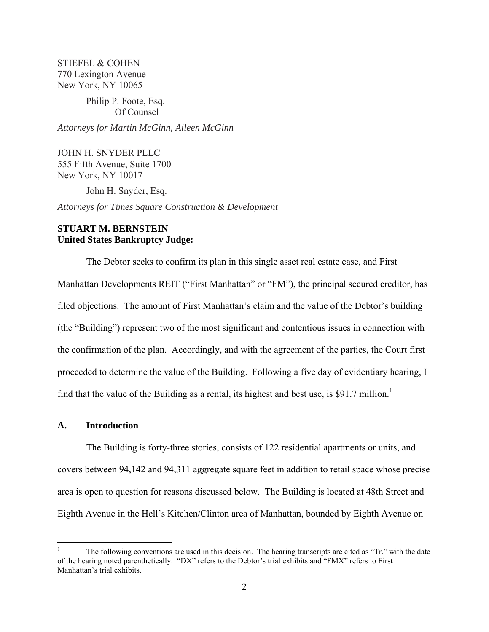STIEFEL & COHEN 770 Lexington Avenue New York, NY 10065

## Philip P. Foote, Esq. Of Counsel

*Attorneys for Martin McGinn, Aileen McGinn* 

JOHN H. SNYDER PLLC 555 Fifth Avenue, Suite 1700 New York, NY 10017

John H. Snyder, Esq.

*Attorneys for Times Square Construction & Development*

# **STUART M. BERNSTEIN United States Bankruptcy Judge:**

 The Debtor seeks to confirm its plan in this single asset real estate case, and First Manhattan Developments REIT ("First Manhattan" or "FM"), the principal secured creditor, has filed objections. The amount of First Manhattan's claim and the value of the Debtor's building (the "Building") represent two of the most significant and contentious issues in connection with the confirmation of the plan. Accordingly, and with the agreement of the parties, the Court first proceeded to determine the value of the Building. Following a five day of evidentiary hearing, I find that the value of the Building as a rental, its highest and best use, is \$91.7 million.<sup>1</sup>

#### **A. Introduction**

1

 The Building is forty-three stories, consists of 122 residential apartments or units, and covers between 94,142 and 94,311 aggregate square feet in addition to retail space whose precise area is open to question for reasons discussed below. The Building is located at 48th Street and Eighth Avenue in the Hell's Kitchen/Clinton area of Manhattan, bounded by Eighth Avenue on

<sup>1</sup> The following conventions are used in this decision. The hearing transcripts are cited as "Tr." with the date of the hearing noted parenthetically. "DX" refers to the Debtor's trial exhibits and "FMX" refers to First Manhattan's trial exhibits.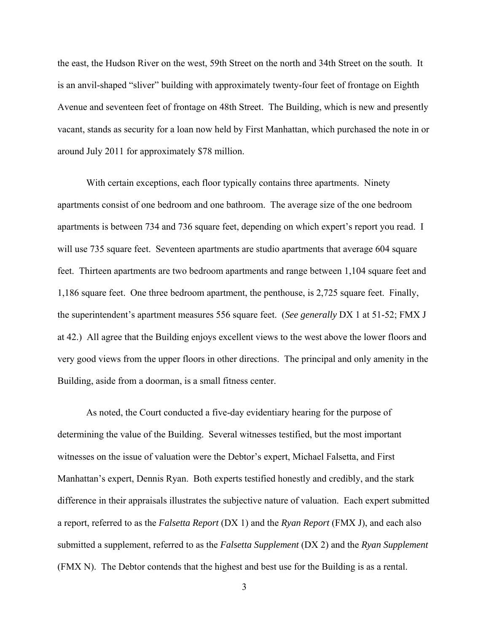the east, the Hudson River on the west, 59th Street on the north and 34th Street on the south. It is an anvil-shaped "sliver" building with approximately twenty-four feet of frontage on Eighth Avenue and seventeen feet of frontage on 48th Street. The Building, which is new and presently vacant, stands as security for a loan now held by First Manhattan, which purchased the note in or around July 2011 for approximately \$78 million.

 With certain exceptions, each floor typically contains three apartments. Ninety apartments consist of one bedroom and one bathroom. The average size of the one bedroom apartments is between 734 and 736 square feet, depending on which expert's report you read. I will use 735 square feet. Seventeen apartments are studio apartments that average 604 square feet. Thirteen apartments are two bedroom apartments and range between 1,104 square feet and 1,186 square feet. One three bedroom apartment, the penthouse, is 2,725 square feet. Finally, the superintendent's apartment measures 556 square feet. (*See generally* DX 1 at 51-52; FMX J at 42.) All agree that the Building enjoys excellent views to the west above the lower floors and very good views from the upper floors in other directions. The principal and only amenity in the Building, aside from a doorman, is a small fitness center.

 As noted, the Court conducted a five-day evidentiary hearing for the purpose of determining the value of the Building. Several witnesses testified, but the most important witnesses on the issue of valuation were the Debtor's expert, Michael Falsetta, and First Manhattan's expert, Dennis Ryan. Both experts testified honestly and credibly, and the stark difference in their appraisals illustrates the subjective nature of valuation. Each expert submitted a report, referred to as the *Falsetta Report* (DX 1) and the *Ryan Report* (FMX J), and each also submitted a supplement, referred to as the *Falsetta Supplement* (DX 2) and the *Ryan Supplement* (FMX N). The Debtor contends that the highest and best use for the Building is as a rental.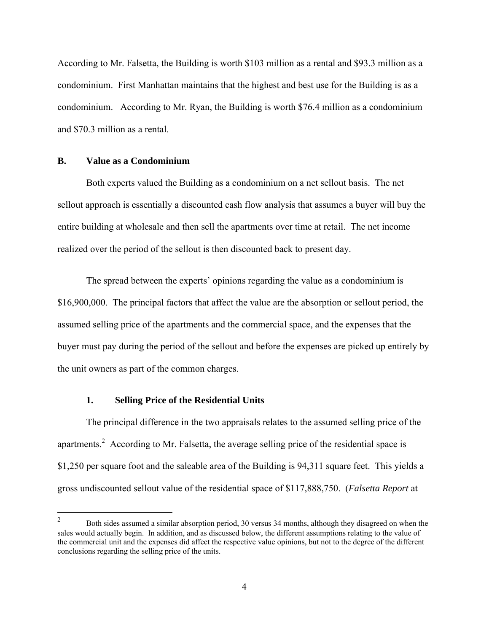According to Mr. Falsetta, the Building is worth \$103 million as a rental and \$93.3 million as a condominium. First Manhattan maintains that the highest and best use for the Building is as a condominium. According to Mr. Ryan, the Building is worth \$76.4 million as a condominium and \$70.3 million as a rental.

#### **B. Value as a Condominium**

 Both experts valued the Building as a condominium on a net sellout basis. The net sellout approach is essentially a discounted cash flow analysis that assumes a buyer will buy the entire building at wholesale and then sell the apartments over time at retail. The net income realized over the period of the sellout is then discounted back to present day.

 The spread between the experts' opinions regarding the value as a condominium is \$16,900,000. The principal factors that affect the value are the absorption or sellout period, the assumed selling price of the apartments and the commercial space, and the expenses that the buyer must pay during the period of the sellout and before the expenses are picked up entirely by the unit owners as part of the common charges.

### **1. Selling Price of the Residential Units**

 The principal difference in the two appraisals relates to the assumed selling price of the apartments.<sup>2</sup> According to Mr. Falsetta, the average selling price of the residential space is \$1,250 per square foot and the saleable area of the Building is 94,311 square feet. This yields a gross undiscounted sellout value of the residential space of \$117,888,750. (*Falsetta Report* at

 $\frac{1}{2}$  Both sides assumed a similar absorption period, 30 versus 34 months, although they disagreed on when the sales would actually begin. In addition, and as discussed below, the different assumptions relating to the value of the commercial unit and the expenses did affect the respective value opinions, but not to the degree of the different conclusions regarding the selling price of the units.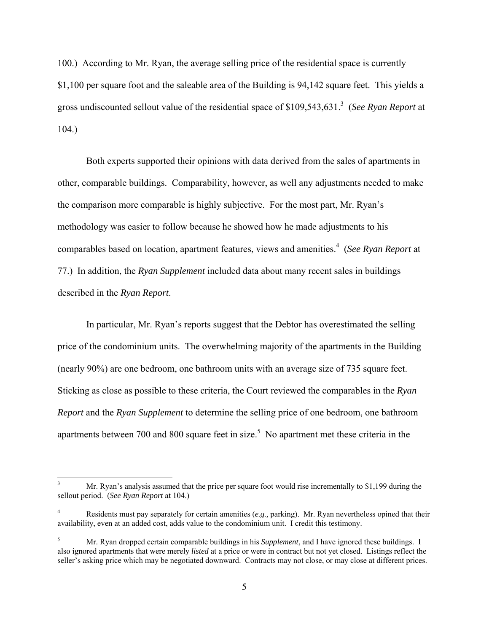100.) According to Mr. Ryan, the average selling price of the residential space is currently \$1,100 per square foot and the saleable area of the Building is 94,142 square feet. This yields a gross undiscounted sellout value of the residential space of \$109,543,631.3 (*See Ryan Report* at 104.)

 Both experts supported their opinions with data derived from the sales of apartments in other, comparable buildings. Comparability, however, as well any adjustments needed to make the comparison more comparable is highly subjective. For the most part, Mr. Ryan's methodology was easier to follow because he showed how he made adjustments to his comparables based on location, apartment features, views and amenities.4 (*See Ryan Report* at 77.) In addition, the *Ryan Supplement* included data about many recent sales in buildings described in the *Ryan Report*.

 In particular, Mr. Ryan's reports suggest that the Debtor has overestimated the selling price of the condominium units. The overwhelming majority of the apartments in the Building (nearly 90%) are one bedroom, one bathroom units with an average size of 735 square feet. Sticking as close as possible to these criteria, the Court reviewed the comparables in the *Ryan Report* and the *Ryan Supplement* to determine the selling price of one bedroom, one bathroom apartments between 700 and 800 square feet in size.<sup>5</sup> No apartment met these criteria in the

 $\overline{a}$ 

<sup>3</sup> Mr. Ryan's analysis assumed that the price per square foot would rise incrementally to \$1,199 during the sellout period. (*See Ryan Report* at 104.)

<sup>4</sup> Residents must pay separately for certain amenities (*e.g.,* parking). Mr. Ryan nevertheless opined that their availability, even at an added cost, adds value to the condominium unit. I credit this testimony.

<sup>5</sup> Mr. Ryan dropped certain comparable buildings in his *Supplement*, and I have ignored these buildings. I also ignored apartments that were merely *listed* at a price or were in contract but not yet closed. Listings reflect the seller's asking price which may be negotiated downward. Contracts may not close, or may close at different prices.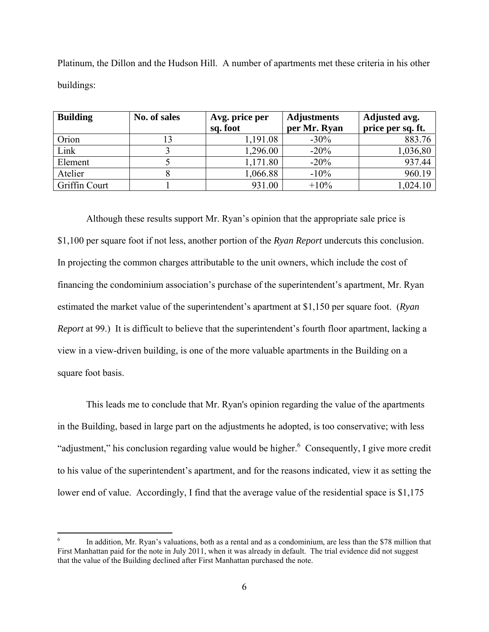| <b>Building</b> | No. of sales | Avg. price per<br>sq. foot | <b>Adjustments</b><br>per Mr. Ryan | Adjusted avg.<br>price per sq. ft. |
|-----------------|--------------|----------------------------|------------------------------------|------------------------------------|
| Orion           | 13           | 1,191.08                   | $-30\%$                            | 883.76                             |
| Link            |              | 1,296.00                   | $-20%$                             | 1,036,80                           |
| Element         |              | 1,171.80                   | $-20%$                             | 937.44                             |
| Atelier         |              | 1,066.88                   | $-10%$                             | 960.19                             |
| Griffin Court   |              | 931.00                     | $+10%$                             | 1,024.10                           |

Platinum, the Dillon and the Hudson Hill. A number of apartments met these criteria in his other buildings:

 Although these results support Mr. Ryan's opinion that the appropriate sale price is \$1,100 per square foot if not less, another portion of the *Ryan Report* undercuts this conclusion. In projecting the common charges attributable to the unit owners, which include the cost of financing the condominium association's purchase of the superintendent's apartment, Mr. Ryan estimated the market value of the superintendent's apartment at \$1,150 per square foot. (*Ryan Report* at 99.) It is difficult to believe that the superintendent's fourth floor apartment, lacking a view in a view-driven building, is one of the more valuable apartments in the Building on a square foot basis.

 This leads me to conclude that Mr. Ryan's opinion regarding the value of the apartments in the Building, based in large part on the adjustments he adopted, is too conservative; with less "adjustment," his conclusion regarding value would be higher. $6$  Consequently, I give more credit to his value of the superintendent's apartment, and for the reasons indicated, view it as setting the lower end of value. Accordingly, I find that the average value of the residential space is \$1,175

 $\overline{a}$ 

<sup>6</sup> In addition, Mr. Ryan's valuations, both as a rental and as a condominium, are less than the \$78 million that First Manhattan paid for the note in July 2011, when it was already in default. The trial evidence did not suggest that the value of the Building declined after First Manhattan purchased the note.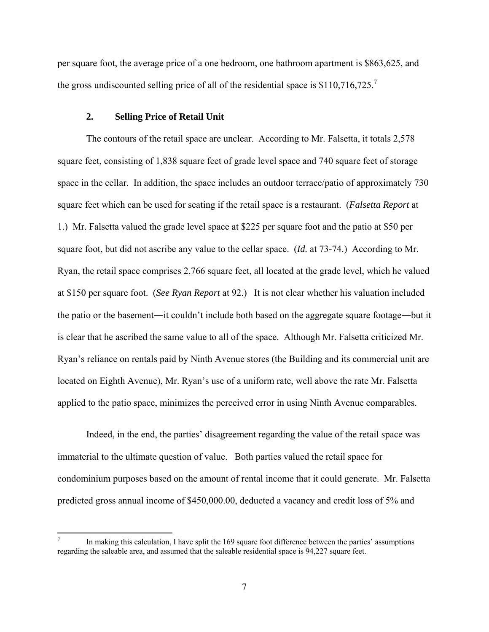per square foot, the average price of a one bedroom, one bathroom apartment is \$863,625, and the gross undiscounted selling price of all of the residential space is \$110,716,725.<sup>7</sup>

#### **2. Selling Price of Retail Unit**

 $\overline{a}$ 

 The contours of the retail space are unclear. According to Mr. Falsetta, it totals 2,578 square feet, consisting of 1,838 square feet of grade level space and 740 square feet of storage space in the cellar. In addition, the space includes an outdoor terrace/patio of approximately 730 square feet which can be used for seating if the retail space is a restaurant. (*Falsetta Report* at 1.) Mr. Falsetta valued the grade level space at \$225 per square foot and the patio at \$50 per square foot, but did not ascribe any value to the cellar space. (*Id.* at 73-74.) According to Mr. Ryan, the retail space comprises 2,766 square feet, all located at the grade level, which he valued at \$150 per square foot. (*See Ryan Report* at 92.) It is not clear whether his valuation included the patio or the basement―it couldn't include both based on the aggregate square footage―but it is clear that he ascribed the same value to all of the space. Although Mr. Falsetta criticized Mr. Ryan's reliance on rentals paid by Ninth Avenue stores (the Building and its commercial unit are located on Eighth Avenue), Mr. Ryan's use of a uniform rate, well above the rate Mr. Falsetta applied to the patio space, minimizes the perceived error in using Ninth Avenue comparables.

 Indeed, in the end, the parties' disagreement regarding the value of the retail space was immaterial to the ultimate question of value. Both parties valued the retail space for condominium purposes based on the amount of rental income that it could generate. Mr. Falsetta predicted gross annual income of \$450,000.00, deducted a vacancy and credit loss of 5% and

<sup>7</sup> In making this calculation, I have split the 169 square foot difference between the parties' assumptions regarding the saleable area, and assumed that the saleable residential space is 94,227 square feet.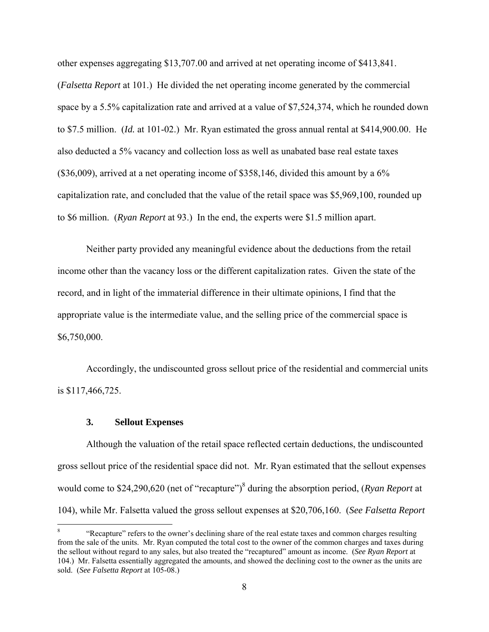other expenses aggregating \$13,707.00 and arrived at net operating income of \$413,841. (*Falsetta Report* at 101.) He divided the net operating income generated by the commercial space by a 5.5% capitalization rate and arrived at a value of \$7,524,374, which he rounded down to \$7.5 million. (*Id.* at 101-02.) Mr. Ryan estimated the gross annual rental at \$414,900.00. He also deducted a 5% vacancy and collection loss as well as unabated base real estate taxes (\$36,009), arrived at a net operating income of \$358,146, divided this amount by a 6% capitalization rate, and concluded that the value of the retail space was \$5,969,100, rounded up to \$6 million. (*Ryan Report* at 93.) In the end, the experts were \$1.5 million apart.

 Neither party provided any meaningful evidence about the deductions from the retail income other than the vacancy loss or the different capitalization rates. Given the state of the record, and in light of the immaterial difference in their ultimate opinions, I find that the appropriate value is the intermediate value, and the selling price of the commercial space is \$6,750,000.

 Accordingly, the undiscounted gross sellout price of the residential and commercial units is \$117,466,725.

## **3. Sellout Expenses**

 $\overline{a}$ 

 Although the valuation of the retail space reflected certain deductions, the undiscounted gross sellout price of the residential space did not. Mr. Ryan estimated that the sellout expenses would come to \$24,290,620 (net of "recapture")<sup>8</sup> during the absorption period, (*Ryan Report* at 104), while Mr. Falsetta valued the gross sellout expenses at \$20,706,160. (*See Falsetta Report*

<sup>8</sup> "Recapture" refers to the owner's declining share of the real estate taxes and common charges resulting from the sale of the units. Mr. Ryan computed the total cost to the owner of the common charges and taxes during the sellout without regard to any sales, but also treated the "recaptured" amount as income. (*See Ryan Report* at 104.) Mr. Falsetta essentially aggregated the amounts, and showed the declining cost to the owner as the units are sold. (*See Falsetta Report* at 105-08.)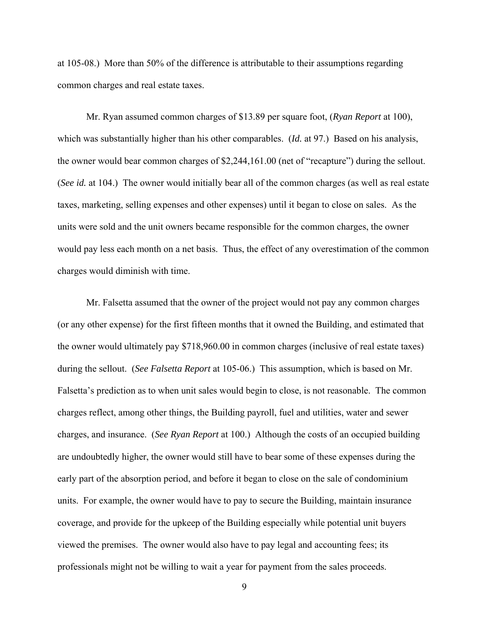at 105-08.) More than 50% of the difference is attributable to their assumptions regarding common charges and real estate taxes.

 Mr. Ryan assumed common charges of \$13.89 per square foot, (*Ryan Report* at 100), which was substantially higher than his other comparables. (*Id.* at 97.) Based on his analysis, the owner would bear common charges of \$2,244,161.00 (net of "recapture") during the sellout. (*See id.* at 104.) The owner would initially bear all of the common charges (as well as real estate taxes, marketing, selling expenses and other expenses) until it began to close on sales. As the units were sold and the unit owners became responsible for the common charges, the owner would pay less each month on a net basis. Thus, the effect of any overestimation of the common charges would diminish with time.

 Mr. Falsetta assumed that the owner of the project would not pay any common charges (or any other expense) for the first fifteen months that it owned the Building, and estimated that the owner would ultimately pay \$718,960.00 in common charges (inclusive of real estate taxes) during the sellout. (*See Falsetta Report* at 105-06.) This assumption, which is based on Mr. Falsetta's prediction as to when unit sales would begin to close, is not reasonable. The common charges reflect, among other things, the Building payroll, fuel and utilities, water and sewer charges, and insurance. (*See Ryan Report* at 100.) Although the costs of an occupied building are undoubtedly higher, the owner would still have to bear some of these expenses during the early part of the absorption period, and before it began to close on the sale of condominium units. For example, the owner would have to pay to secure the Building, maintain insurance coverage, and provide for the upkeep of the Building especially while potential unit buyers viewed the premises. The owner would also have to pay legal and accounting fees; its professionals might not be willing to wait a year for payment from the sales proceeds.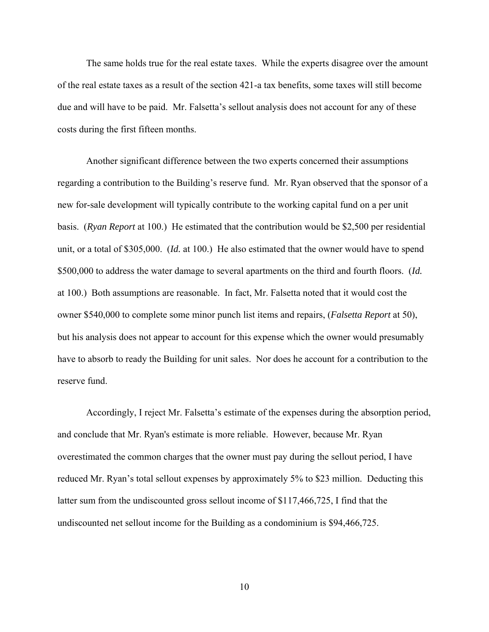The same holds true for the real estate taxes. While the experts disagree over the amount of the real estate taxes as a result of the section 421-a tax benefits, some taxes will still become due and will have to be paid. Mr. Falsetta's sellout analysis does not account for any of these costs during the first fifteen months.

 Another significant difference between the two experts concerned their assumptions regarding a contribution to the Building's reserve fund. Mr. Ryan observed that the sponsor of a new for-sale development will typically contribute to the working capital fund on a per unit basis. (*Ryan Report* at 100.) He estimated that the contribution would be \$2,500 per residential unit, or a total of \$305,000. (*Id.* at 100.) He also estimated that the owner would have to spend \$500,000 to address the water damage to several apartments on the third and fourth floors. (*Id.* at 100.) Both assumptions are reasonable. In fact, Mr. Falsetta noted that it would cost the owner \$540,000 to complete some minor punch list items and repairs, (*Falsetta Report* at 50), but his analysis does not appear to account for this expense which the owner would presumably have to absorb to ready the Building for unit sales. Nor does he account for a contribution to the reserve fund.

 Accordingly, I reject Mr. Falsetta's estimate of the expenses during the absorption period, and conclude that Mr. Ryan's estimate is more reliable. However, because Mr. Ryan overestimated the common charges that the owner must pay during the sellout period, I have reduced Mr. Ryan's total sellout expenses by approximately 5% to \$23 million. Deducting this latter sum from the undiscounted gross sellout income of \$117,466,725, I find that the undiscounted net sellout income for the Building as a condominium is \$94,466,725.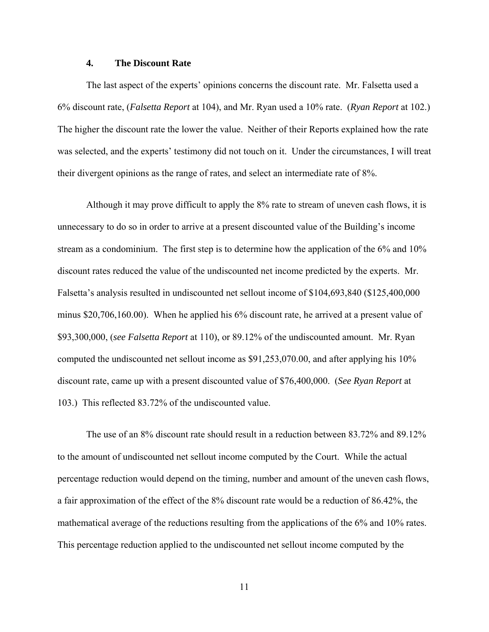### **4. The Discount Rate**

 The last aspect of the experts' opinions concerns the discount rate. Mr. Falsetta used a 6% discount rate, (*Falsetta Report* at 104), and Mr. Ryan used a 10% rate. (*Ryan Report* at 102.) The higher the discount rate the lower the value. Neither of their Reports explained how the rate was selected, and the experts' testimony did not touch on it. Under the circumstances, I will treat their divergent opinions as the range of rates, and select an intermediate rate of 8%.

 Although it may prove difficult to apply the 8% rate to stream of uneven cash flows, it is unnecessary to do so in order to arrive at a present discounted value of the Building's income stream as a condominium. The first step is to determine how the application of the 6% and 10% discount rates reduced the value of the undiscounted net income predicted by the experts. Mr. Falsetta's analysis resulted in undiscounted net sellout income of \$104,693,840 (\$125,400,000 minus \$20,706,160.00). When he applied his 6% discount rate, he arrived at a present value of \$93,300,000, (*see Falsetta Report* at 110), or 89.12% of the undiscounted amount. Mr. Ryan computed the undiscounted net sellout income as \$91,253,070.00, and after applying his 10% discount rate, came up with a present discounted value of \$76,400,000. (*See Ryan Report* at 103.) This reflected 83.72% of the undiscounted value.

 The use of an 8% discount rate should result in a reduction between 83.72% and 89.12% to the amount of undiscounted net sellout income computed by the Court. While the actual percentage reduction would depend on the timing, number and amount of the uneven cash flows, a fair approximation of the effect of the 8% discount rate would be a reduction of 86.42%, the mathematical average of the reductions resulting from the applications of the 6% and 10% rates. This percentage reduction applied to the undiscounted net sellout income computed by the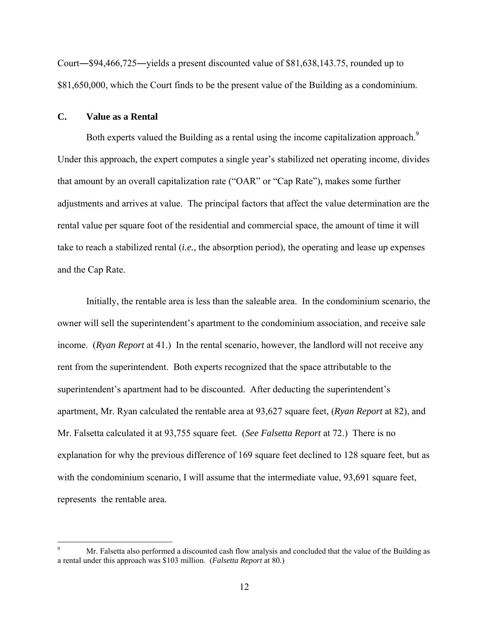Court―\$94,466,725―yields a present discounted value of \$81,638,143.75, rounded up to \$81,650,000, which the Court finds to be the present value of the Building as a condominium.

### **C. Value as a Rental**

1

Both experts valued the Building as a rental using the income capitalization approach.<sup>9</sup> Under this approach, the expert computes a single year's stabilized net operating income, divides that amount by an overall capitalization rate ("OAR" or "Cap Rate"), makes some further adjustments and arrives at value. The principal factors that affect the value determination are the rental value per square foot of the residential and commercial space, the amount of time it will take to reach a stabilized rental (*i.e.*, the absorption period), the operating and lease up expenses and the Cap Rate.

 Initially, the rentable area is less than the saleable area. In the condominium scenario, the owner will sell the superintendent's apartment to the condominium association, and receive sale income. (*Ryan Report* at 41.) In the rental scenario, however, the landlord will not receive any rent from the superintendent. Both experts recognized that the space attributable to the superintendent's apartment had to be discounted. After deducting the superintendent's apartment, Mr. Ryan calculated the rentable area at 93,627 square feet, (*Ryan Report* at 82), and Mr. Falsetta calculated it at 93,755 square feet. (*See Falsetta Report* at 72.) There is no explanation for why the previous difference of 169 square feet declined to 128 square feet, but as with the condominium scenario, I will assume that the intermediate value, 93,691 square feet, represents the rentable area.

<sup>9</sup> Mr. Falsetta also performed a discounted cash flow analysis and concluded that the value of the Building as a rental under this approach was \$103 million. (*Falsetta Report* at 80.)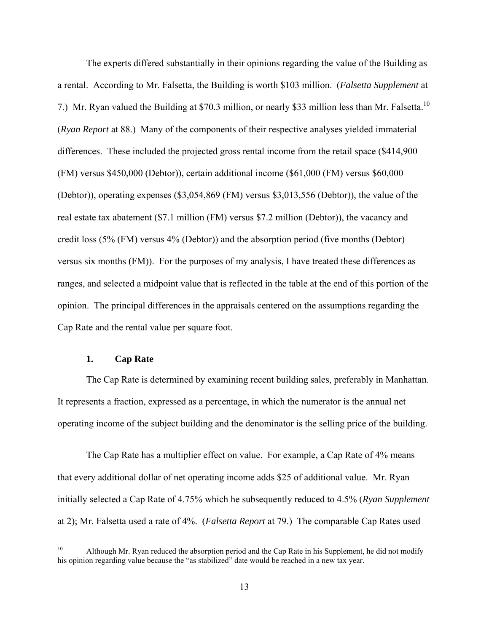The experts differed substantially in their opinions regarding the value of the Building as a rental. According to Mr. Falsetta, the Building is worth \$103 million. (*Falsetta Supplement* at 7.) Mr. Ryan valued the Building at \$70.3 million, or nearly \$33 million less than Mr. Falsetta.<sup>10</sup> (*Ryan Report* at 88.) Many of the components of their respective analyses yielded immaterial differences. These included the projected gross rental income from the retail space (\$414,900 (FM) versus \$450,000 (Debtor)), certain additional income (\$61,000 (FM) versus \$60,000 (Debtor)), operating expenses (\$3,054,869 (FM) versus \$3,013,556 (Debtor)), the value of the real estate tax abatement (\$7.1 million (FM) versus \$7.2 million (Debtor)), the vacancy and credit loss (5% (FM) versus 4% (Debtor)) and the absorption period (five months (Debtor) versus six months (FM)). For the purposes of my analysis, I have treated these differences as ranges, and selected a midpoint value that is reflected in the table at the end of this portion of the opinion. The principal differences in the appraisals centered on the assumptions regarding the Cap Rate and the rental value per square foot.

## **1. Cap Rate**

 The Cap Rate is determined by examining recent building sales, preferably in Manhattan. It represents a fraction, expressed as a percentage, in which the numerator is the annual net operating income of the subject building and the denominator is the selling price of the building.

 The Cap Rate has a multiplier effect on value. For example, a Cap Rate of 4% means that every additional dollar of net operating income adds \$25 of additional value. Mr. Ryan initially selected a Cap Rate of 4.75% which he subsequently reduced to 4.5% (*Ryan Supplement* at 2); Mr. Falsetta used a rate of 4%. (*Falsetta Report* at 79.) The comparable Cap Rates used

 $10$ Although Mr. Ryan reduced the absorption period and the Cap Rate in his Supplement, he did not modify his opinion regarding value because the "as stabilized" date would be reached in a new tax year.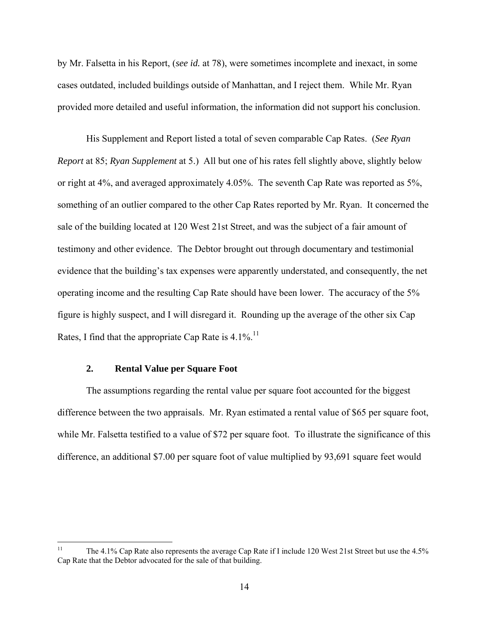by Mr. Falsetta in his Report, (*see id.* at 78), were sometimes incomplete and inexact, in some cases outdated, included buildings outside of Manhattan, and I reject them. While Mr. Ryan provided more detailed and useful information, the information did not support his conclusion.

 His Supplement and Report listed a total of seven comparable Cap Rates. (*See Ryan Report* at 85; *Ryan Supplement* at 5.) All but one of his rates fell slightly above, slightly below or right at 4%, and averaged approximately 4.05%. The seventh Cap Rate was reported as 5%, something of an outlier compared to the other Cap Rates reported by Mr. Ryan. It concerned the sale of the building located at 120 West 21st Street, and was the subject of a fair amount of testimony and other evidence. The Debtor brought out through documentary and testimonial evidence that the building's tax expenses were apparently understated, and consequently, the net operating income and the resulting Cap Rate should have been lower. The accuracy of the 5% figure is highly suspect, and I will disregard it. Rounding up the average of the other six Cap Rates, I find that the appropriate Cap Rate is  $4.1\%$ .<sup>11</sup>

## **2. Rental Value per Square Foot**

 The assumptions regarding the rental value per square foot accounted for the biggest difference between the two appraisals. Mr. Ryan estimated a rental value of \$65 per square foot, while Mr. Falsetta testified to a value of \$72 per square foot. To illustrate the significance of this difference, an additional \$7.00 per square foot of value multiplied by 93,691 square feet would

 $11\,$ The 4.1% Cap Rate also represents the average Cap Rate if I include 120 West 21st Street but use the 4.5% Cap Rate that the Debtor advocated for the sale of that building.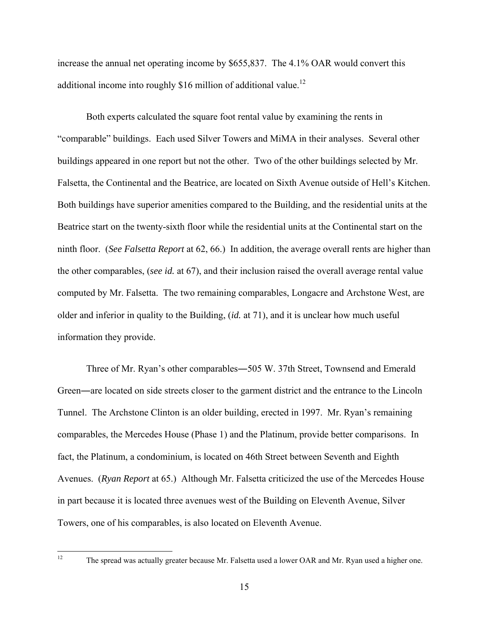increase the annual net operating income by \$655,837. The 4.1% OAR would convert this additional income into roughly \$16 million of additional value.<sup>12</sup>

 Both experts calculated the square foot rental value by examining the rents in "comparable" buildings. Each used Silver Towers and MiMA in their analyses. Several other buildings appeared in one report but not the other. Two of the other buildings selected by Mr. Falsetta, the Continental and the Beatrice, are located on Sixth Avenue outside of Hell's Kitchen. Both buildings have superior amenities compared to the Building, and the residential units at the Beatrice start on the twenty-sixth floor while the residential units at the Continental start on the ninth floor. (*See Falsetta Report* at 62, 66.) In addition, the average overall rents are higher than the other comparables, (*see id.* at 67), and their inclusion raised the overall average rental value computed by Mr. Falsetta. The two remaining comparables, Longacre and Archstone West, are older and inferior in quality to the Building, (*id.* at 71), and it is unclear how much useful information they provide.

 Three of Mr. Ryan's other comparables―505 W. 37th Street, Townsend and Emerald Green―are located on side streets closer to the garment district and the entrance to the Lincoln Tunnel. The Archstone Clinton is an older building, erected in 1997. Mr. Ryan's remaining comparables, the Mercedes House (Phase 1) and the Platinum, provide better comparisons. In fact, the Platinum, a condominium, is located on 46th Street between Seventh and Eighth Avenues. (*Ryan Report* at 65.) Although Mr. Falsetta criticized the use of the Mercedes House in part because it is located three avenues west of the Building on Eleventh Avenue, Silver Towers, one of his comparables, is also located on Eleventh Avenue.

The spread was actually greater because Mr. Falsetta used a lower OAR and Mr. Ryan used a higher one.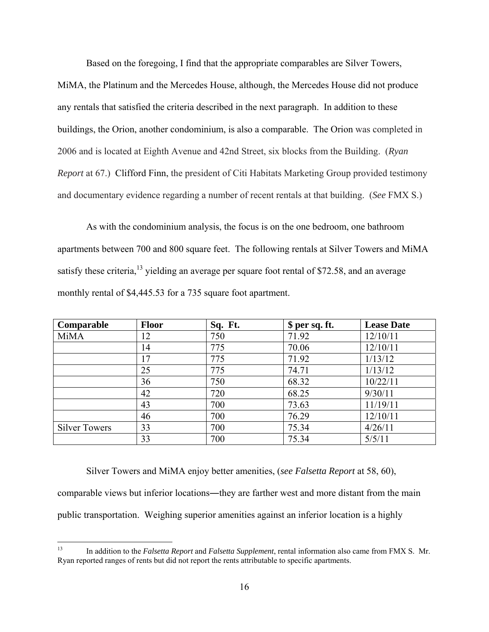Based on the foregoing, I find that the appropriate comparables are Silver Towers, MiMA, the Platinum and the Mercedes House, although, the Mercedes House did not produce any rentals that satisfied the criteria described in the next paragraph. In addition to these buildings, the Orion, another condominium, is also a comparable. The Orion was completed in 2006 and is located at Eighth Avenue and 42nd Street, six blocks from the Building. (*Ryan Report* at 67.) Clifford Finn, the president of Citi Habitats Marketing Group provided testimony and documentary evidence regarding a number of recent rentals at that building. (*See* FMX S.)

 As with the condominium analysis, the focus is on the one bedroom, one bathroom apartments between 700 and 800 square feet. The following rentals at Silver Towers and MiMA satisfy these criteria,<sup>13</sup> yielding an average per square foot rental of \$72.58, and an average monthly rental of \$4,445.53 for a 735 square foot apartment.

| Comparable           | <b>Floor</b> | Sq. Ft. | \$ per sq. ft. | <b>Lease Date</b> |
|----------------------|--------------|---------|----------------|-------------------|
| <b>MiMA</b>          | 12           | 750     | 71.92          | 12/10/11          |
|                      | 14           | 775     | 70.06          | 12/10/11          |
|                      | 17           | 775     | 71.92          | 1/13/12           |
|                      | 25           | 775     | 74.71          | 1/13/12           |
|                      | 36           | 750     | 68.32          | 10/22/11          |
|                      | 42           | 720     | 68.25          | 9/30/11           |
|                      | 43           | 700     | 73.63          | 11/19/11          |
|                      | 46           | 700     | 76.29          | 12/10/11          |
| <b>Silver Towers</b> | 33           | 700     | 75.34          | 4/26/11           |
|                      | 33           | 700     | 75.34          | 5/5/11            |

 Silver Towers and MiMA enjoy better amenities, (*see Falsetta Report* at 58, 60), comparable views but inferior locations―they are farther west and more distant from the main public transportation. Weighing superior amenities against an inferior location is a highly

 $13\,$ 13 In addition to the *Falsetta Report* and *Falsetta Supplement*, rental information also came from FMX S. Mr. Ryan reported ranges of rents but did not report the rents attributable to specific apartments.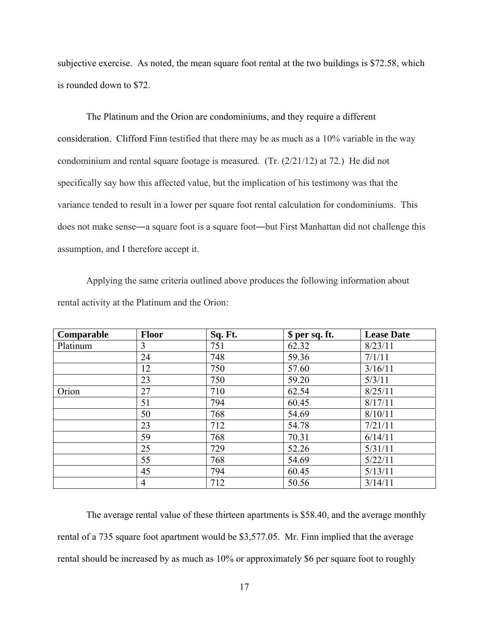subjective exercise. As noted, the mean square foot rental at the two buildings is \$72.58, which is rounded down to \$72.

 The Platinum and the Orion are condominiums, and they require a different consideration. Clifford Finn testified that there may be as much as a 10% variable in the way condominium and rental square footage is measured. (Tr. (2/21/12) at 72.) He did not specifically say how this affected value, but the implication of his testimony was that the variance tended to result in a lower per square foot rental calculation for condominiums. This does not make sense―a square foot is a square foot―but First Manhattan did not challenge this assumption, and I therefore accept it.

 Applying the same criteria outlined above produces the following information about rental activity at the Platinum and the Orion:

| Comparable | <b>Floor</b> | Sq. Ft. | \$ per sq. ft. | <b>Lease Date</b> |
|------------|--------------|---------|----------------|-------------------|
| Platinum   | 3            | 751     | 62.32          | 8/23/11           |
|            | 24           | 748     | 59.36          | 7/1/11            |
|            | 12           | 750     | 57.60          | 3/16/11           |
|            | 23           | 750     | 59.20          | 5/3/11            |
| Orion      | 27           | 710     | 62.54          | 8/25/11           |
|            | 51           | 794     | 60.45          | 8/17/11           |
|            | 50           | 768     | 54.69          | 8/10/11           |
|            | 23           | 712     | 54.78          | 7/21/11           |
|            | 59           | 768     | 70.31          | 6/14/11           |
|            | 25           | 729     | 52.26          | 5/31/11           |
|            | 55           | 768     | 54.69          | 5/22/11           |
|            | 45           | 794     | 60.45          | 5/13/11           |
|            | 4            | 712     | 50.56          | 3/14/11           |

 The average rental value of these thirteen apartments is \$58.40, and the average monthly rental of a 735 square foot apartment would be \$3,577.05. Mr. Finn implied that the average rental should be increased by as much as 10% or approximately \$6 per square foot to roughly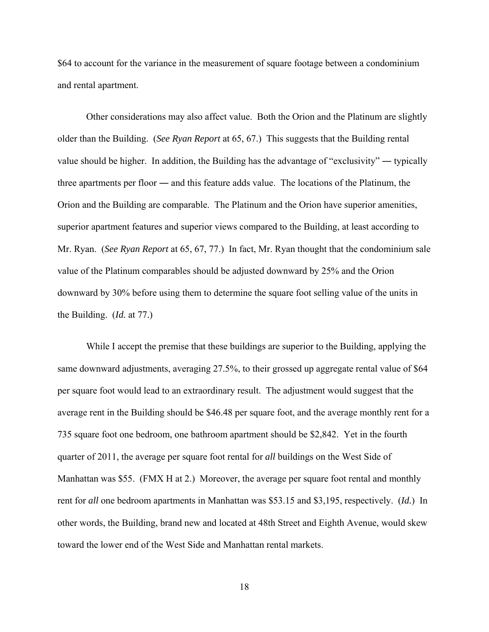\$64 to account for the variance in the measurement of square footage between a condominium and rental apartment.

 Other considerations may also affect value. Both the Orion and the Platinum are slightly older than the Building. (*See Ryan Report* at 65, 67.) This suggests that the Building rental value should be higher. In addition, the Building has the advantage of "exclusivity" ― typically three apartments per floor ― and this feature adds value. The locations of the Platinum, the Orion and the Building are comparable. The Platinum and the Orion have superior amenities, superior apartment features and superior views compared to the Building, at least according to Mr. Ryan. (*See Ryan Report* at 65, 67, 77.) In fact, Mr. Ryan thought that the condominium sale value of the Platinum comparables should be adjusted downward by 25% and the Orion downward by 30% before using them to determine the square foot selling value of the units in the Building. (*Id.* at 77.)

 While I accept the premise that these buildings are superior to the Building, applying the same downward adjustments, averaging 27.5%, to their grossed up aggregate rental value of \$64 per square foot would lead to an extraordinary result. The adjustment would suggest that the average rent in the Building should be \$46.48 per square foot, and the average monthly rent for a 735 square foot one bedroom, one bathroom apartment should be \$2,842. Yet in the fourth quarter of 2011, the average per square foot rental for *all* buildings on the West Side of Manhattan was \$55. (FMX H at 2.) Moreover, the average per square foot rental and monthly rent for *all* one bedroom apartments in Manhattan was \$53.15 and \$3,195, respectively. (*Id.*) In other words, the Building, brand new and located at 48th Street and Eighth Avenue, would skew toward the lower end of the West Side and Manhattan rental markets.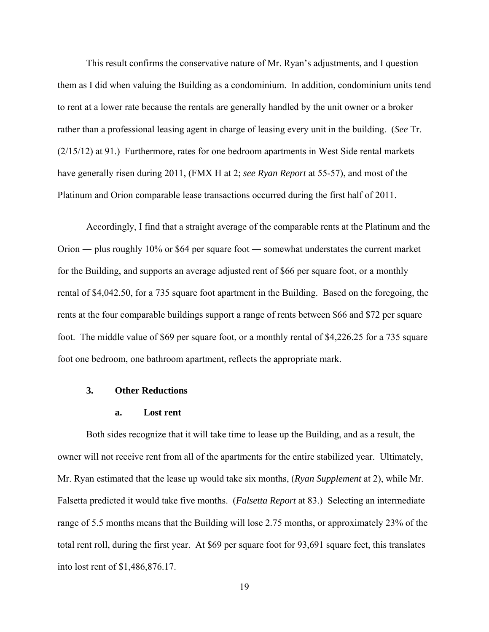This result confirms the conservative nature of Mr. Ryan's adjustments, and I question them as I did when valuing the Building as a condominium. In addition, condominium units tend to rent at a lower rate because the rentals are generally handled by the unit owner or a broker rather than a professional leasing agent in charge of leasing every unit in the building. (*See* Tr. (2/15/12) at 91.) Furthermore, rates for one bedroom apartments in West Side rental markets have generally risen during 2011, (FMX H at 2; *see Ryan Report* at 55-57), and most of the Platinum and Orion comparable lease transactions occurred during the first half of 2011.

 Accordingly, I find that a straight average of the comparable rents at the Platinum and the Orion ― plus roughly 10% or \$64 per square foot ― somewhat understates the current market for the Building, and supports an average adjusted rent of \$66 per square foot, or a monthly rental of \$4,042.50, for a 735 square foot apartment in the Building. Based on the foregoing, the rents at the four comparable buildings support a range of rents between \$66 and \$72 per square foot. The middle value of \$69 per square foot, or a monthly rental of \$4,226.25 for a 735 square foot one bedroom, one bathroom apartment, reflects the appropriate mark.

### **3. Other Reductions**

#### **a. Lost rent**

 Both sides recognize that it will take time to lease up the Building, and as a result, the owner will not receive rent from all of the apartments for the entire stabilized year. Ultimately, Mr. Ryan estimated that the lease up would take six months, (*Ryan Supplement* at 2), while Mr. Falsetta predicted it would take five months. (*Falsetta Report* at 83.) Selecting an intermediate range of 5.5 months means that the Building will lose 2.75 months, or approximately 23% of the total rent roll, during the first year. At \$69 per square foot for 93,691 square feet, this translates into lost rent of \$1,486,876.17.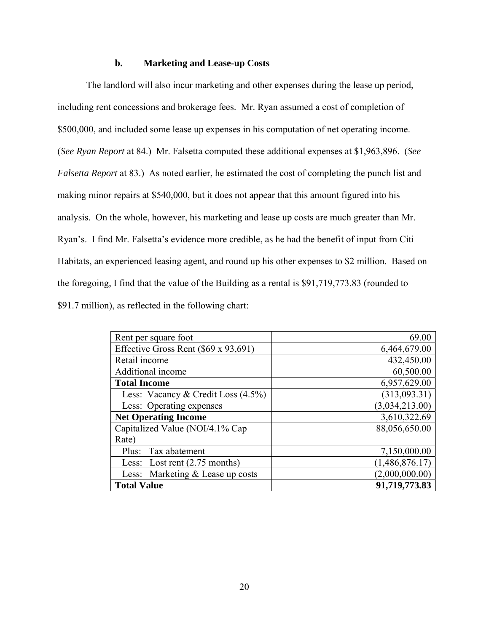#### **b. Marketing and Lease-up Costs**

The landlord will also incur marketing and other expenses during the lease up period, including rent concessions and brokerage fees. Mr. Ryan assumed a cost of completion of \$500,000, and included some lease up expenses in his computation of net operating income. (*See Ryan Report* at 84.) Mr. Falsetta computed these additional expenses at \$1,963,896. (*See Falsetta Report* at 83.) As noted earlier, he estimated the cost of completing the punch list and making minor repairs at \$540,000, but it does not appear that this amount figured into his analysis. On the whole, however, his marketing and lease up costs are much greater than Mr. Ryan's. I find Mr. Falsetta's evidence more credible, as he had the benefit of input from Citi Habitats, an experienced leasing agent, and round up his other expenses to \$2 million. Based on the foregoing, I find that the value of the Building as a rental is \$91,719,773.83 (rounded to \$91.7 million), as reflected in the following chart:

| Rent per square foot                 | 69.00          |
|--------------------------------------|----------------|
| Effective Gross Rent (\$69 x 93,691) | 6,464,679.00   |
| Retail income                        | 432,450.00     |
| Additional income                    | 60,500.00      |
| <b>Total Income</b>                  | 6,957,629.00   |
| Less: Vacancy & Credit Loss (4.5%)   | (313,093.31)   |
| Less: Operating expenses             | (3,034,213.00) |
| <b>Net Operating Income</b>          | 3,610,322.69   |
| Capitalized Value (NOI/4.1% Cap      | 88,056,650.00  |
| Rate)                                |                |
| Plus: Tax abatement                  | 7,150,000.00   |
| Less: Lost rent (2.75 months)        | (1,486,876.17) |
| Less: Marketing & Lease up costs     | (2,000,000.00) |
| <b>Total Value</b>                   | 91,719,773.83  |